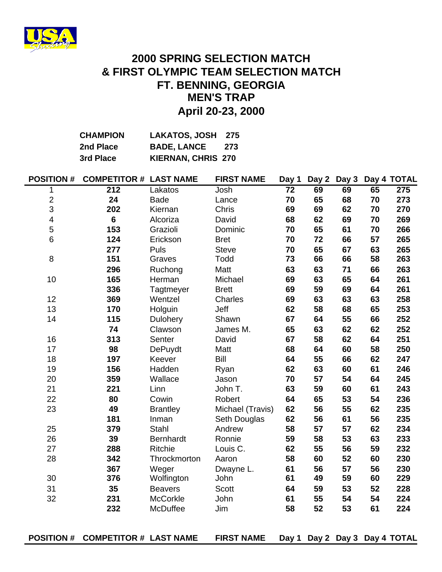

### **April 20-23, 2000 2000 SPRING SELECTION MATCH & FIRST OLYMPIC TEAM SELECTION MATCH FT. BENNING, GEORGIA MEN'S TRAP**

| <b>CHAMPION</b> | LAKATOS, JOSH 275         |     |
|-----------------|---------------------------|-----|
| 2nd Place       | <b>BADE, LANCE</b>        | 273 |
| 3rd Place       | <b>KIERNAN, CHRIS 270</b> |     |

| <b>POSITION#</b>        | <b>COMPETITOR # LAST NAME</b> |                  | <b>FIRST NAME</b> | Day 1           |    |    |    | Day 2 Day 3 Day 4 TOTAL |
|-------------------------|-------------------------------|------------------|-------------------|-----------------|----|----|----|-------------------------|
| 1                       | $\overline{212}$              | Lakatos          | Josh              | $\overline{72}$ | 69 | 69 | 65 | 275                     |
| $\frac{2}{3}$           | 24                            | <b>Bade</b>      | Lance             | 70              | 65 | 68 | 70 | 273                     |
|                         | 202                           | Kiernan          | <b>Chris</b>      | 69              | 69 | 62 | 70 | 270                     |
| $\overline{\mathbf{4}}$ | $6\phantom{1}$                | Alcoriza         | David             | 68              | 62 | 69 | 70 | 269                     |
| 5                       | 153                           | Grazioli         | Dominic           | 70              | 65 | 61 | 70 | 266                     |
| $6\phantom{1}$          | 124                           | Erickson         | <b>Bret</b>       | 70              | 72 | 66 | 57 | 265                     |
|                         | 277                           | Puls             | <b>Steve</b>      | 70              | 65 | 67 | 63 | 265                     |
| 8                       | 151                           | Graves           | Todd              | 73              | 66 | 66 | 58 | 263                     |
|                         | 296                           | Ruchong          | Matt              | 63              | 63 | 71 | 66 | 263                     |
| 10                      | 165                           | Herman           | Michael           | 69              | 63 | 65 | 64 | 261                     |
|                         | 336                           | Tagtmeyer        | <b>Brett</b>      | 69              | 59 | 69 | 64 | 261                     |
| 12                      | 369                           | Wentzel          | Charles           | 69              | 63 | 63 | 63 | 258                     |
| 13                      | 170                           | Holguin          | Jeff              | 62              | 58 | 68 | 65 | 253                     |
| 14                      | 115                           | Dulohery         | Shawn             | 67              | 64 | 55 | 66 | 252                     |
|                         | 74                            | Clawson          | James M.          | 65              | 63 | 62 | 62 | 252                     |
| 16                      | 313                           | Senter           | David             | 67              | 58 | 62 | 64 | 251                     |
| 17                      | 98                            | <b>DePuydt</b>   | Matt              | 68              | 64 | 60 | 58 | 250                     |
| 18                      | 197                           | Keever           | Bill              | 64              | 55 | 66 | 62 | 247                     |
| 19                      | 156                           | Hadden           | Ryan              | 62              | 63 | 60 | 61 | 246                     |
| 20                      | 359                           | Wallace          | Jason             | 70              | 57 | 54 | 64 | 245                     |
| 21                      | 221                           | Linn             | John T.           | 63              | 59 | 60 | 61 | 243                     |
| 22                      | 80                            | Cowin            | Robert            | 64              | 65 | 53 | 54 | 236                     |
| 23                      | 49                            | <b>Brantley</b>  | Michael (Travis)  | 62              | 56 | 55 | 62 | 235                     |
|                         | 181                           | Inman            | Seth Douglas      | 62              | 56 | 61 | 56 | 235                     |
| 25                      | 379                           | Stahl            | Andrew            | 58              | 57 | 57 | 62 | 234                     |
| 26                      | 39                            | <b>Bernhardt</b> | Ronnie            | 59              | 58 | 53 | 63 | 233                     |
| 27                      | 288                           | Ritchie          | Louis C.          | 62              | 55 | 56 | 59 | 232                     |
| 28                      | 342                           | Throckmorton     | Aaron             | 58              | 60 | 52 | 60 | 230                     |
|                         | 367                           | Weger            | Dwayne L.         | 61              | 56 | 57 | 56 | 230                     |
| 30                      | 376                           | Wolfington       | John              | 61              | 49 | 59 | 60 | 229                     |
| 31                      | 35                            | <b>Beavers</b>   | Scott             | 64              | 59 | 53 | 52 | 228                     |
| 32                      | 231                           | <b>McCorkle</b>  | John              | 61              | 55 | 54 | 54 | 224                     |
|                         | 232                           | McDuffee         | Jim               | 58              | 52 | 53 | 61 | 224                     |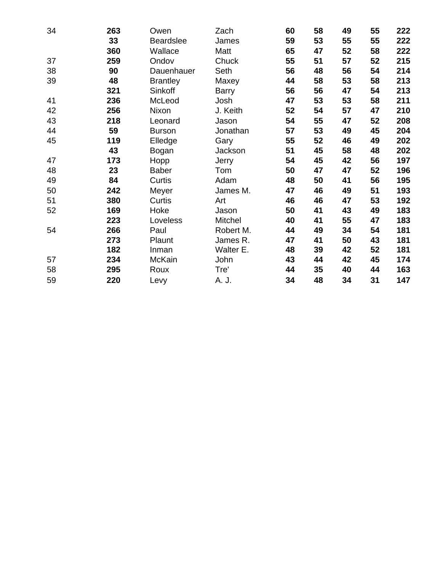| 34 | 263 | Owen             | Zach         | 60 | 58 | 49 | 55 | 222 |
|----|-----|------------------|--------------|----|----|----|----|-----|
|    | 33  | <b>Beardslee</b> | James        | 59 | 53 | 55 | 55 | 222 |
|    | 360 | Wallace          | Matt         | 65 | 47 | 52 | 58 | 222 |
| 37 | 259 | Ondov            | Chuck        | 55 | 51 | 57 | 52 | 215 |
| 38 | 90  | Dauenhauer       | Seth         | 56 | 48 | 56 | 54 | 214 |
| 39 | 48  | <b>Brantley</b>  | Maxey        | 44 | 58 | 53 | 58 | 213 |
|    | 321 | Sinkoff          | <b>Barry</b> | 56 | 56 | 47 | 54 | 213 |
| 41 | 236 | McLeod           | Josh         | 47 | 53 | 53 | 58 | 211 |
| 42 | 256 | Nixon            | J. Keith     | 52 | 54 | 57 | 47 | 210 |
| 43 | 218 | Leonard          | Jason        | 54 | 55 | 47 | 52 | 208 |
| 44 | 59  | <b>Burson</b>    | Jonathan     | 57 | 53 | 49 | 45 | 204 |
| 45 | 119 | Elledge          | Gary         | 55 | 52 | 46 | 49 | 202 |
|    | 43  | Bogan            | Jackson      | 51 | 45 | 58 | 48 | 202 |
| 47 | 173 | Hopp             | Jerry        | 54 | 45 | 42 | 56 | 197 |
| 48 | 23  | <b>Baber</b>     | Tom          | 50 | 47 | 47 | 52 | 196 |
| 49 | 84  | Curtis           | Adam         | 48 | 50 | 41 | 56 | 195 |
| 50 | 242 | Meyer            | James M.     | 47 | 46 | 49 | 51 | 193 |
| 51 | 380 | Curtis           | Art          | 46 | 46 | 47 | 53 | 192 |
| 52 | 169 | Hoke             | Jason        | 50 | 41 | 43 | 49 | 183 |
|    | 223 | Loveless         | Mitchel      | 40 | 41 | 55 | 47 | 183 |
| 54 | 266 | Paul             | Robert M.    | 44 | 49 | 34 | 54 | 181 |
|    | 273 | Plaunt           | James R.     | 47 | 41 | 50 | 43 | 181 |
|    | 182 | Inman            | Walter E.    | 48 | 39 | 42 | 52 | 181 |
| 57 | 234 | <b>McKain</b>    | John         | 43 | 44 | 42 | 45 | 174 |
| 58 | 295 | Roux             | Tre'         | 44 | 35 | 40 | 44 | 163 |
| 59 | 220 | Levy             | A. J.        | 34 | 48 | 34 | 31 | 147 |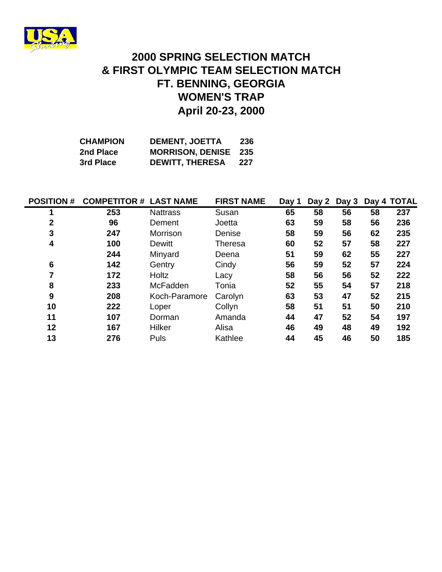

## **April 20-23, 2000 FT. BENNING, GEORGIA & FIRST OLYMPIC TEAM SELECTION MATCH 2000 SPRING SELECTION MATCH WOMEN'S TRAP**

| <b>CHAMPION</b> | <b>DEMENT, JOETTA</b>       | 236 |
|-----------------|-----------------------------|-----|
| 2nd Place       | <b>MORRISON, DENISE</b> 235 |     |
| 3rd Place       | <b>DEWITT, THERESA</b>      | 227 |

| <b>POSITION #</b> | <b>COMPETITOR # LAST NAME</b> |                 | <b>FIRST NAME</b> | Day 1 | Day 2 | Day 3 |    | Day 4 TOTAL |
|-------------------|-------------------------------|-----------------|-------------------|-------|-------|-------|----|-------------|
|                   | 253                           | <b>Nattrass</b> | Susan             | 65    | 58    | 56    | 58 | 237         |
| $\mathbf{2}$      | 96                            | Dement          | Joetta            | 63    | 59    | 58    | 56 | 236         |
| 3                 | 247                           | Morrison        | Denise            | 58    | 59    | 56    | 62 | 235         |
| 4                 | 100                           | Dewitt          | <b>Theresa</b>    | 60    | 52    | 57    | 58 | 227         |
|                   | 244                           | Minyard         | Deena             | 51    | 59    | 62    | 55 | 227         |
| 6                 | 142                           | Gentry          | Cindy             | 56    | 59    | 52    | 57 | 224         |
|                   | 172                           | <b>Holtz</b>    | Lacy              | 58    | 56    | 56    | 52 | 222         |
| 8                 | 233                           | McFadden        | Tonia             | 52    | 55    | 54    | 57 | 218         |
| 9                 | 208                           | Koch-Paramore   | Carolyn           | 63    | 53    | 47    | 52 | 215         |
| 10                | 222                           | Loper           | Collyn            | 58    | 51    | 51    | 50 | 210         |
| 11                | 107                           | Dorman          | Amanda            | 44    | 47    | 52    | 54 | 197         |
| 12                | 167                           | Hilker          | Alisa             | 46    | 49    | 48    | 49 | 192         |
| 13                | 276                           | Puls            | Kathlee           | 44    | 45    | 46    | 50 | 185         |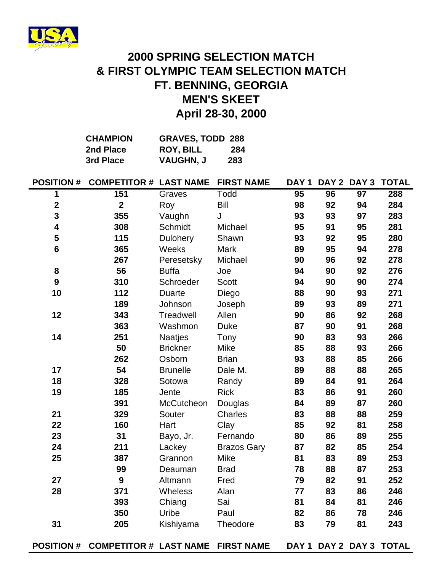

# **2000 SPRING SELECTION MATCH & FIRST OLYMPIC TEAM SELECTION MATCH FT. BENNING, GEORGIA MEN'S SKEET April 28-30, 2000**

| <b>CHAMPION</b> | <b>GRAVES, TODD 288</b> |     |
|-----------------|-------------------------|-----|
| 2nd Place       | <b>ROY, BILL</b>        | 284 |
| 3rd Place       | <b>VAUGHN, J</b>        | 283 |

|                         | POSITION # COMPETITOR # LAST NAME |                 | <b>FIRST NAME</b>  | DAY <sub>1</sub> |    |                 | DAY 2 DAY 3 TOTAL       |
|-------------------------|-----------------------------------|-----------------|--------------------|------------------|----|-----------------|-------------------------|
| 1                       | 151                               | Graves          | Todd               | $\overline{95}$  | 96 | $\overline{97}$ | 288                     |
| $\overline{\mathbf{2}}$ | $\overline{2}$                    | Roy             | <b>Bill</b>        | 98               | 92 | 94              | 284                     |
| 3                       | 355                               | Vaughn          | J                  | 93               | 93 | 97              | 283                     |
| 4                       | 308                               | Schmidt         | Michael            | 95               | 91 | 95              | 281                     |
| 5                       | 115                               | Dulohery        | Shawn              | 93               | 92 | 95              | 280                     |
| $6\phantom{1}$          | 365                               | Weeks           | <b>Mark</b>        | 89               | 95 | 94              | 278                     |
|                         | 267                               | Peresetsky      | Michael            | 90               | 96 | 92              | 278                     |
| 8                       | 56                                | <b>Buffa</b>    | Joe                | 94               | 90 | 92              | 276                     |
| $\boldsymbol{9}$        | 310                               | Schroeder       | <b>Scott</b>       | 94               | 90 | 90              | 274                     |
| 10                      | 112                               | <b>Duarte</b>   | Diego              | 88               | 90 | 93              | 271                     |
|                         | 189                               | Johnson         | Joseph             | 89               | 93 | 89              | 271                     |
| 12                      | 343                               | Treadwell       | Allen              | 90               | 86 | 92              | 268                     |
|                         | 363                               | Washmon         | <b>Duke</b>        | 87               | 90 | 91              | 268                     |
| 14                      | 251                               | Naatjes         | Tony               | 90               | 83 | 93              | 266                     |
|                         | 50                                | <b>Brickner</b> | Mike               | 85               | 88 | 93              | 266                     |
|                         | 262                               | Osborn          | <b>Brian</b>       | 93               | 88 | 85              | 266                     |
| 17                      | 54                                | <b>Brunelle</b> | Dale M.            | 89               | 88 | 88              | 265                     |
| 18                      | 328                               | Sotowa          | Randy              | 89               | 84 | 91              | 264                     |
| 19                      | 185                               | Jente           | <b>Rick</b>        | 83               | 86 | 91              | 260                     |
|                         | 391                               | McCutcheon      | Douglas            | 84               | 89 | 87              | 260                     |
| 21                      | 329                               | Souter          | <b>Charles</b>     | 83               | 88 | 88              | 259                     |
| 22                      | 160                               | Hart            | Clay               | 85               | 92 | 81              | 258                     |
| 23                      | 31                                | Bayo, Jr.       | Fernando           | 80               | 86 | 89              | 255                     |
| 24                      | 211                               | Lackey          | <b>Brazos Gary</b> | 87               | 82 | 85              | 254                     |
| 25                      | 387                               | Grannon         | <b>Mike</b>        | 81               | 83 | 89              | 253                     |
|                         | 99                                | Deauman         | <b>Brad</b>        | 78               | 88 | 87              | 253                     |
| 27                      | 9                                 | Altmann         | Fred               | 79               | 82 | 91              | 252                     |
| 28                      | 371                               | Wheless         | Alan               | 77               | 83 | 86              | 246                     |
|                         | 393                               | Chiang          | Sai                | 81               | 84 | 81              | 246                     |
|                         | 350                               | Uribe           | Paul               | 82               | 86 | 78              | 246                     |
| 31                      | 205                               | Kishiyama       | Theodore           | 83               | 79 | 81              | 243                     |
|                         | POSITION # COMPETITOR # LAST NAME |                 | <b>FIRST NAME</b>  |                  |    |                 | DAY 1 DAY 2 DAY 3 TOTAL |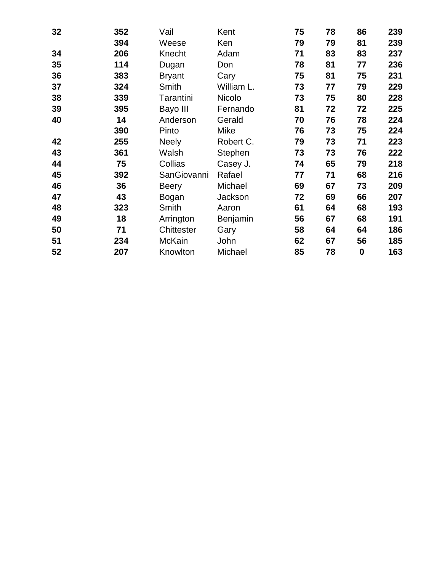| 32 | 352 | Vail          | Kent       | 75 | 78 | 86       | 239 |
|----|-----|---------------|------------|----|----|----------|-----|
|    | 394 | Weese         | Ken        | 79 | 79 | 81       | 239 |
| 34 | 206 | Knecht        | Adam       | 71 | 83 | 83       | 237 |
| 35 | 114 | Dugan         | Don        | 78 | 81 | 77       | 236 |
| 36 | 383 | <b>Bryant</b> | Cary       | 75 | 81 | 75       | 231 |
| 37 | 324 | Smith         | William L. | 73 | 77 | 79       | 229 |
| 38 | 339 | Tarantini     | Nicolo     | 73 | 75 | 80       | 228 |
| 39 | 395 | Bayo III      | Fernando   | 81 | 72 | 72       | 225 |
| 40 | 14  | Anderson      | Gerald     | 70 | 76 | 78       | 224 |
|    | 390 | Pinto         | Mike       | 76 | 73 | 75       | 224 |
| 42 | 255 | <b>Neely</b>  | Robert C.  | 79 | 73 | 71       | 223 |
| 43 | 361 | Walsh         | Stephen    | 73 | 73 | 76       | 222 |
| 44 | 75  | Collias       | Casey J.   | 74 | 65 | 79       | 218 |
| 45 | 392 | SanGiovanni   | Rafael     | 77 | 71 | 68       | 216 |
| 46 | 36  | <b>Beery</b>  | Michael    | 69 | 67 | 73       | 209 |
| 47 | 43  | Bogan         | Jackson    | 72 | 69 | 66       | 207 |
| 48 | 323 | Smith         | Aaron      | 61 | 64 | 68       | 193 |
| 49 | 18  | Arrington     | Benjamin   | 56 | 67 | 68       | 191 |
| 50 | 71  | Chittester    | Gary       | 58 | 64 | 64       | 186 |
| 51 | 234 | <b>McKain</b> | John       | 62 | 67 | 56       | 185 |
| 52 | 207 | Knowlton      | Michael    | 85 | 78 | $\bf{0}$ | 163 |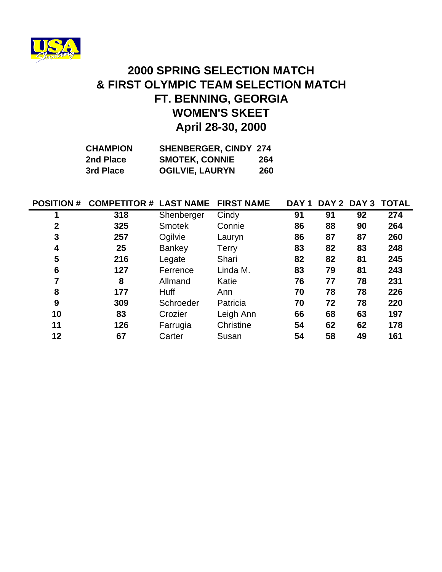

# **April 28-30, 2000 2000 SPRING SELECTION MATCH & FIRST OLYMPIC TEAM SELECTION MATCH FT. BENNING, GEORGIA WOMEN'S SKEET**

| <b>CHAMPION</b> | <b>SHENBERGER, CINDY 274</b> |     |
|-----------------|------------------------------|-----|
| 2nd Place       | <b>SMOTEK, CONNIE</b>        | 264 |
| 3rd Place       | <b>OGILVIE, LAURYN</b>       | 260 |

| <b>POSITION #</b> | <b>COMPETITOR # LAST NAME</b> |               | <b>FIRST NAME</b> | DAY <sub>1</sub> | DAY 2 DAY 3 |    | <b>TOTAL</b> |
|-------------------|-------------------------------|---------------|-------------------|------------------|-------------|----|--------------|
| 1                 | 318                           | Shenberger    | Cindy             | 91               | 91          | 92 | 274          |
| $\mathbf 2$       | 325                           | <b>Smotek</b> | Connie            | 86               | 88          | 90 | 264          |
| 3                 | 257                           | Ogilvie       | Lauryn            | 86               | 87          | 87 | 260          |
| 4                 | 25                            | Bankey        | Terry             | 83               | 82          | 83 | 248          |
| 5                 | 216                           | Legate        | Shari             | 82               | 82          | 81 | 245          |
| 6                 | 127                           | Ferrence      | Linda M.          | 83               | 79          | 81 | 243          |
| 7                 | 8                             | Allmand       | Katie             | 76               | 77          | 78 | 231          |
| 8                 | 177                           | <b>Huff</b>   | Ann               | 70               | 78          | 78 | 226          |
| 9                 | 309                           | Schroeder     | Patricia          | 70               | 72          | 78 | 220          |
| 10                | 83                            | Crozier       | Leigh Ann         | 66               | 68          | 63 | 197          |
| 11                | 126                           | Farrugia      | Christine         | 54               | 62          | 62 | 178          |
| 12                | 67                            | Carter        | Susan             | 54               | 58          | 49 | 161          |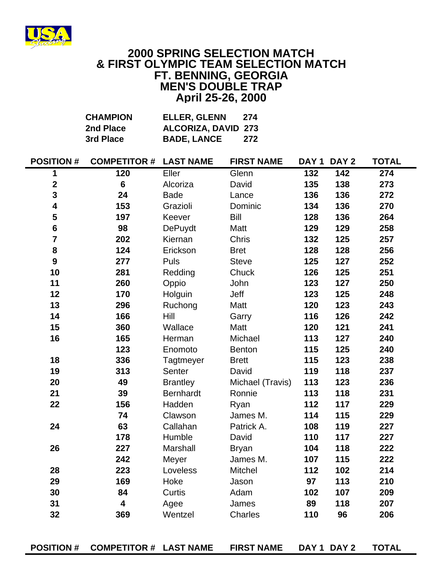

#### **2000 SPRING SELECTION MATCH & FIRST OLYMPIC TEAM SELECTION MATCH FT. BENNING, GEORGIA MEN'S DOUBLE TRAP April 25-26, 2000**

|                         | <b>CHAMPION</b>               | <b>ELLER, GLENN</b> | 274               |     |             |              |
|-------------------------|-------------------------------|---------------------|-------------------|-----|-------------|--------------|
|                         | 2nd Place                     | ALCORIZA, DAVID 273 |                   |     |             |              |
|                         | 3rd Place                     | <b>BADE, LANCE</b>  | 272               |     |             |              |
| <b>POSITION#</b>        | <b>COMPETITOR # LAST NAME</b> |                     | <b>FIRST NAME</b> |     | DAY 1 DAY 2 | <b>TOTAL</b> |
| 1                       | 120                           | Eller               | Glenn             | 132 | 142         | 274          |
| $\mathbf 2$             | $6\phantom{1}6$               | Alcoriza            | David             | 135 | 138         | 273          |
| 3                       | 24                            | <b>Bade</b>         | Lance             | 136 | 136         | 272          |
| 4                       | 153                           | Grazioli            | Dominic           | 134 | 136         | 270          |
| 5                       | 197                           | Keever              | <b>Bill</b>       | 128 | 136         | 264          |
| $\bf 6$                 | 98                            | <b>DePuydt</b>      | Matt              | 129 | 129         | 258          |
| $\overline{\mathbf{7}}$ | 202                           | Kiernan             | Chris             | 132 | 125         | 257          |
| 8                       | 124                           | Erickson            | <b>Bret</b>       | 128 | 128         | 256          |
| $\boldsymbol{9}$        | 277                           | Puls                | <b>Steve</b>      | 125 | 127         | 252          |
| 10                      | 281                           | Redding             | Chuck             | 126 | 125         | 251          |
| 11                      | 260                           | Oppio               | John              | 123 | 127         | 250          |
| 12                      | 170                           | Holguin             | Jeff              | 123 | 125         | 248          |
| 13                      | 296                           | Ruchong             | Matt              | 120 | 123         | 243          |
| 14                      | 166                           | Hill                | Garry             | 116 | 126         | 242          |
| 15                      | 360                           | Wallace             | Matt              | 120 | 121         | 241          |
| 16                      | 165                           | Herman              | Michael           | 113 | 127         | 240          |
|                         | 123                           | Enomoto             | <b>Benton</b>     | 115 | 125         | 240          |
| 18                      | 336                           | Tagtmeyer           | <b>Brett</b>      | 115 | 123         | 238          |
| 19                      | 313                           | Senter              | David             | 119 | 118         | 237          |
| 20                      | 49                            | <b>Brantley</b>     | Michael (Travis)  | 113 | 123         | 236          |
| 21                      | 39                            | <b>Bernhardt</b>    | Ronnie            | 113 | 118         | 231          |
| 22                      | 156                           | Hadden              | Ryan              | 112 | 117         | 229          |
|                         | 74                            | Clawson             | James M.          | 114 | 115         | 229          |
| 24                      | 63                            | Callahan            | Patrick A.        | 108 | 119         | 227          |
|                         | 178                           | Humble              | David             | 110 | 117         | 227          |
| 26                      | 227                           | Marshall            | <b>Bryan</b>      | 104 | 118         | 222          |
|                         | 242                           | Meyer               | James M.          | 107 | 115         | 222          |
| 28                      | 223                           | Loveless            | <b>Mitchel</b>    | 112 | 102         | 214          |
| 29                      | 169                           | Hoke                | Jason             | 97  | 113         | 210          |
| 30                      | 84                            | Curtis              | Adam              | 102 | 107         | 209          |
| 31                      | $\overline{\mathbf{4}}$       | Agee                | James             | 89  | 118         | 207          |
| 32                      | 369                           | Wentzel             | Charles           | 110 | 96          | 206          |
|                         |                               |                     |                   |     |             |              |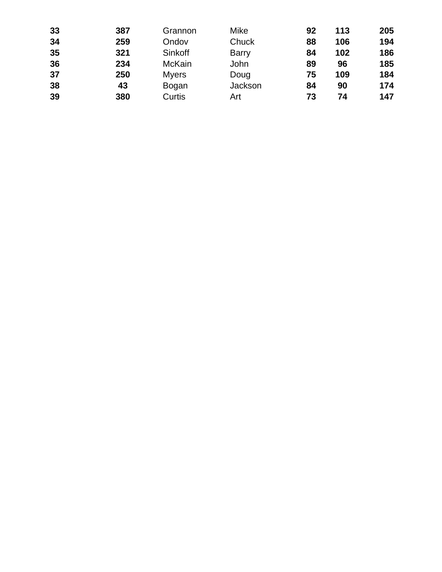| 33 | 387 | Grannon       | Mike         | 92 | 113 | 205 |
|----|-----|---------------|--------------|----|-----|-----|
| 34 | 259 | Ondov         | Chuck        | 88 | 106 | 194 |
| 35 | 321 | Sinkoff       | <b>Barry</b> | 84 | 102 | 186 |
| 36 | 234 | <b>McKain</b> | John         | 89 | 96  | 185 |
| 37 | 250 | <b>Myers</b>  | Doug         | 75 | 109 | 184 |
| 38 | 43  | Bogan         | Jackson      | 84 | 90  | 174 |
| 39 | 380 | Curtis        | Art          | 73 | 74  | 147 |